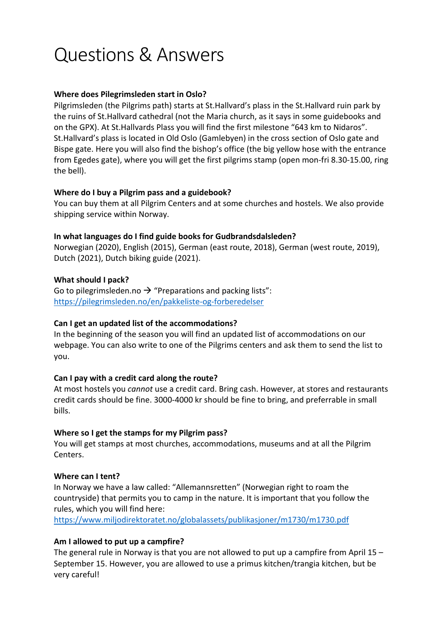# Questions & Answers

# **Where does Pilegrimsleden start in Oslo?**

Pilgrimsleden (the Pilgrims path) starts at St.Hallvard's plass in the St.Hallvard ruin park by the ruins of St.Hallvard cathedral (not the Maria church, as it says in some guidebooks and on the GPX). At St.Hallvards Plass you will find the first milestone "643 km to Nidaros". St.Hallvard's plass is located in Old Oslo (Gamlebyen) in the cross section of Oslo gate and Bispe gate. Here you will also find the bishop's office (the big yellow hose with the entrance from Egedes gate), where you will get the first pilgrims stamp (open mon-fri 8.30-15.00, ring the bell).

## **Where do I buy a Pilgrim pass and a guidebook?**

You can buy them at all Pilgrim Centers and at some churches and hostels. We also provide shipping service within Norway.

#### **In what languages do I find guide books for Gudbrandsdalsleden?**

Norwegian (2020), English (2015), German (east route, 2018), German (west route, 2019), Dutch (2021), Dutch biking guide (2021).

## **What should I pack?**

Go to pilegrimsleden.no  $\rightarrow$  "Preparations and packing lists": https://pilegrimsleden.no/en/pakkeliste-og-forberedelser

#### **Can I get an updated list of the accommodations?**

In the beginning of the season you will find an updated list of accommodations on our webpage. You can also write to one of the Pilgrims centers and ask them to send the list to you.

# **Can I pay with a credit card along the route?**

At most hostels you *cannot* use a credit card. Bring cash. However, at stores and restaurants credit cards should be fine. 3000-4000 kr should be fine to bring, and preferrable in small bills.

# **Where so I get the stamps for my Pilgrim pass?**

You will get stamps at most churches, accommodations, museums and at all the Pilgrim Centers.

# **Where can I tent?**

In Norway we have a law called: "Allemannsretten" (Norwegian right to roam the countryside) that permits you to camp in the nature. It is important that you follow the rules, which you will find here:

https://www.miljodirektoratet.no/globalassets/publikasjoner/m1730/m1730.pdf

# **Am I allowed to put up a campfire?**

The general rule in Norway is that you are not allowed to put up a campfire from April 15 – September 15. However, you are allowed to use a primus kitchen/trangia kitchen, but be very careful!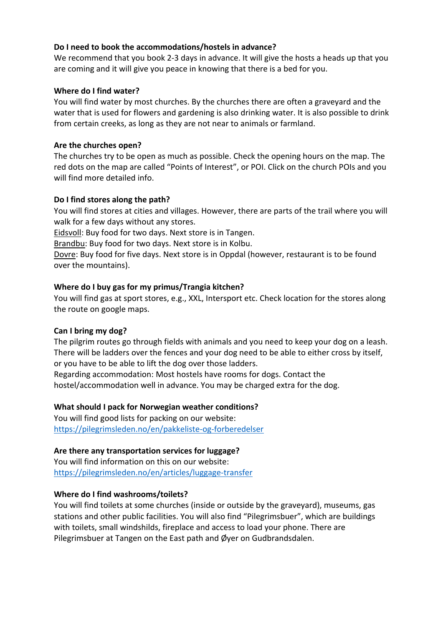# **Do I need to book the accommodations/hostels in advance?**

We recommend that you book 2-3 days in advance. It will give the hosts a heads up that you are coming and it will give you peace in knowing that there is a bed for you.

## **Where do I find water?**

You will find water by most churches. By the churches there are often a graveyard and the water that is used for flowers and gardening is also drinking water. It is also possible to drink from certain creeks, as long as they are not near to animals or farmland.

# **Are the churches open?**

The churches try to be open as much as possible. Check the opening hours on the map. The red dots on the map are called "Points of Interest", or POI. Click on the church POIs and you will find more detailed info.

## **Do I find stores along the path?**

You will find stores at cities and villages. However, there are parts of the trail where you will walk for a few days without any stores.

Eidsvoll: Buy food for two days. Next store is in Tangen.

Brandbu: Buy food for two days. Next store is in Kolbu.

Dovre: Buy food for five days. Next store is in Oppdal (however, restaurant is to be found over the mountains).

## **Where do I buy gas for my primus/Trangia kitchen?**

You will find gas at sport stores, e.g., XXL, Intersport etc. Check location for the stores along the route on google maps.

#### **Can I bring my dog?**

The pilgrim routes go through fields with animals and you need to keep your dog on a leash. There will be ladders over the fences and your dog need to be able to either cross by itself, or you have to be able to lift the dog over those ladders.

Regarding accommodation: Most hostels have rooms for dogs. Contact the hostel/accommodation well in advance. You may be charged extra for the dog.

#### **What should I pack for Norwegian weather conditions?**

You will find good lists for packing on our website: https://pilegrimsleden.no/en/pakkeliste-og-forberedelser

#### **Are there any transportation services for luggage?**

You will find information on this on our website: https://pilegrimsleden.no/en/articles/luggage-transfer

#### **Where do I find washrooms/toilets?**

You will find toilets at some churches (inside or outside by the graveyard), museums, gas stations and other public facilities. You will also find "Pilegrimsbuer", which are buildings with toilets, small windshilds, fireplace and access to load your phone. There are Pilegrimsbuer at Tangen on the East path and Øyer on Gudbrandsdalen.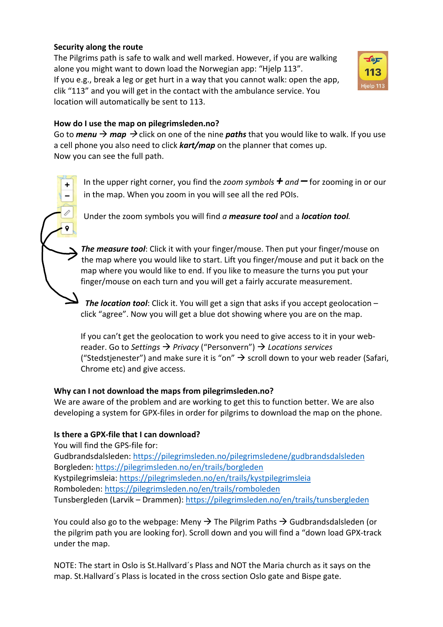# **Security along the route**

 $\ddot{}$ 

The Pilgrims path is safe to walk and well marked. However, if you are walking alone you might want to down load the Norwegian app: "Hjelp 113". If you e.g., break a leg or get hurt in a way that you cannot walk: open the app, clik "113" and you will get in the contact with the ambulance service. You location will automatically be sent to 113.



# **How do I use the map on pilegrimsleden.no?**

Go to *menu*  $\rightarrow$  *map*  $\rightarrow$  click on one of the nine *paths* that you would like to walk. If you use a cell phone you also need to click *kart/map* on the planner that comes up. Now you can see the full path.

In the upper right corner, you find the *zoom symbols + and –* for zooming in or our in the map. When you zoom in you will see all the red POIs.

Under the zoom symbols you will find *a measure tool* and a *location tool.*

*The measure tool*: Click it with your finger/mouse. Then put your finger/mouse on the map where you would like to start. Lift you finger/mouse and put it back on the map where you would like to end. If you like to measure the turns you put your finger/mouse on each turn and you will get a fairly accurate measurement.

*The location tool*: Click it. You will get a sign that asks if you accept geolocation – click "agree". Now you will get a blue dot showing where you are on the map.

If you can't get the geolocation to work you need to give access to it in your webreader. Go to *Settings* → *Privacy* ("Personvern") → Locations services ("Stedstjenester") and make sure it is "on"  $\rightarrow$  scroll down to your web reader (Safari, Chrome etc) and give access.

# **Why can I not download the maps from pilegrimsleden.no?**

We are aware of the problem and are working to get this to function better. We are also developing a system for GPX-files in order for pilgrims to download the map on the phone.

# **Is there a GPX-file that I can download?**

You will find the GPS-file for:

Gudbrandsdalsleden: https://pilegrimsleden.no/pilegrimsledene/gudbrandsdalsleden Borgleden: https://pilegrimsleden.no/en/trails/borgleden Kystpilegrimsleia: https://pilegrimsleden.no/en/trails/kystpilegrimsleia Romboleden: https://pilegrimsleden.no/en/trails/romboleden Tunsbergleden (Larvik – Drammen): https://pilegrimsleden.no/en/trails/tunsbergleden

You could also go to the webpage: Meny  $\rightarrow$  The Pilgrim Paths  $\rightarrow$  Gudbrandsdalsleden (or the pilgrim path you are looking for). Scroll down and you will find a "down load GPX-track under the map.

NOTE: The start in Oslo is St.Hallvard´s Plass and NOT the Maria church as it says on the map. St.Hallvard´s Plass is located in the cross section Oslo gate and Bispe gate.